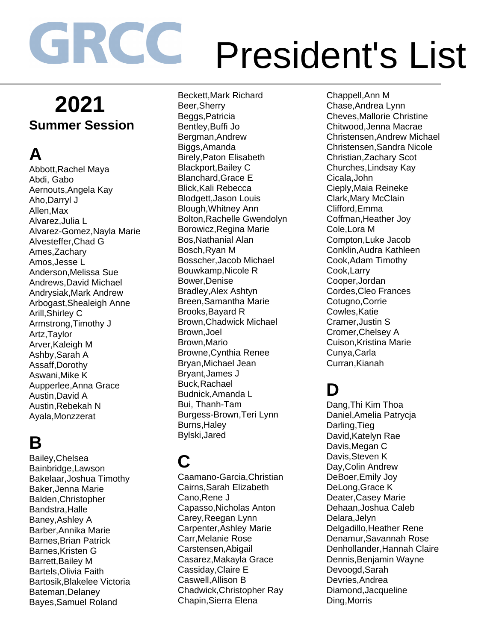## **2021 Summer Session**

# **A**

Abbott,Rachel Maya Abdi, Gabo Aernouts,Angela Kay Aho,Darryl J Allen,Max Alvarez,Julia L Alvarez-Gomez,Nayla Marie Alvesteffer,Chad G Ames,Zachary Amos,Jesse L Anderson,Melissa Sue Andrews,David Michael Andrysiak,Mark Andrew Arbogast,Shealeigh Anne Arill,Shirley C Armstrong,Timothy J Artz,Taylor Arver,Kaleigh M Ashby,Sarah A Assaff,Dorothy Aswani,Mike K Aupperlee,Anna Grace Austin,David A Austin,Rebekah N Ayala,Monzzerat

#### **B**

Bailey,Chelsea Bainbridge,Lawson Bakelaar,Joshua Timothy Baker,Jenna Marie Balden,Christopher Bandstra,Halle Baney,Ashley A Barber,Annika Marie Barnes,Brian Patrick Barnes,Kristen G Barrett,Bailey M Bartels,Olivia Faith Bartosik,Blakelee Victoria Bateman,Delaney Bayes,Samuel Roland

Beckett,Mark Richard Beer,Sherry Beggs,Patricia Bentley,Buffi Jo Bergman,Andrew Biggs,Amanda Birely,Paton Elisabeth Blackport,Bailey C Blanchard,Grace E Blick,Kali Rebecca Blodgett,Jason Louis Blough,Whitney Ann Bolton,Rachelle Gwendolyn Borowicz,Regina Marie Bos,Nathanial Alan Bosch,Ryan M Bosscher,Jacob Michael Bouwkamp,Nicole R Bower,Denise Bradley,Alex Ashtyn Breen,Samantha Marie Brooks,Bayard R Brown,Chadwick Michael Brown,Joel Brown,Mario Browne,Cynthia Renee Bryan,Michael Jean Bryant,James J Buck,Rachael Budnick,Amanda L Bui, Thanh-Tam Burgess-Brown,Teri Lynn Burns,Haley Bylski,Jared

## **C**

Caamano-Garcia,Christian Cairns,Sarah Elizabeth Cano,Rene J Capasso,Nicholas Anton Carey,Reegan Lynn Carpenter,Ashley Marie Carr,Melanie Rose Carstensen,Abigail Casarez,Makayla Grace Cassiday,Claire E Caswell,Allison B Chadwick,Christopher Ray Chapin,Sierra Elena

Chappell,Ann M Chase,Andrea Lynn Cheves,Mallorie Christine Chitwood,Jenna Macrae Christensen,Andrew Michael Christensen,Sandra Nicole Christian,Zachary Scot Churches,Lindsay Kay Cicala,John Cieply,Maia Reineke Clark,Mary McClain Clifford,Emma Coffman,Heather Joy Cole,Lora M Compton,Luke Jacob Conklin,Audra Kathleen Cook,Adam Timothy Cook,Larry Cooper,Jordan Cordes,Cleo Frances Cotugno,Corrie Cowles,Katie Cramer,Justin S Cromer,Chelsey A Cuison,Kristina Marie Cunya,Carla Curran,Kianah

#### **D**

Dang,Thi Kim Thoa Daniel,Amelia Patrycja Darling,Tieg David,Katelyn Rae Davis,Megan C Davis,Steven K Day,Colin Andrew DeBoer,Emily Joy DeLong,Grace K Deater,Casey Marie Dehaan,Joshua Caleb Delara,Jelyn Delgadillo,Heather Rene Denamur,Savannah Rose Denhollander,Hannah Claire Dennis,Benjamin Wayne Devoogd,Sarah Devries,Andrea Diamond,Jacqueline Ding,Morris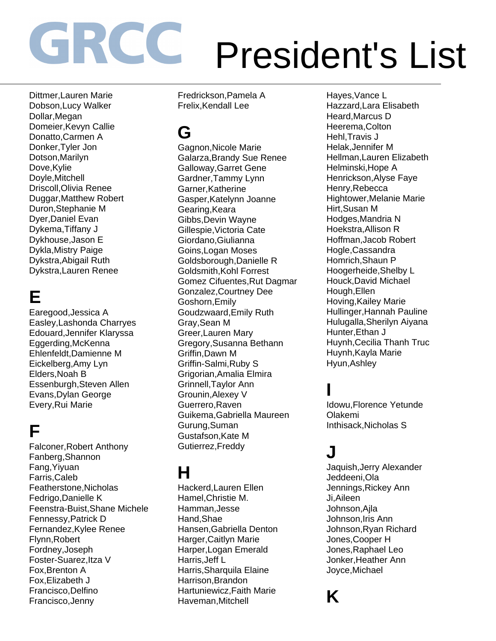Dittmer,Lauren Marie Dobson,Lucy Walker Dollar,Megan Domeier,Kevyn Callie Donatto,Carmen A Donker,Tyler Jon Dotson,Marilyn Dove,Kylie Doyle,Mitchell Driscoll,Olivia Renee Duggar,Matthew Robert Duron,Stephanie M Dyer,Daniel Evan Dykema,Tiffany J Dykhouse,Jason E Dykla,Mistry Paige Dykstra,Abigail Ruth Dykstra,Lauren Renee

# **E**

Earegood,Jessica A Easley,Lashonda Charryes Edouard,Jennifer Klaryssa Eggerding,McKenna Ehlenfeldt,Damienne M Eickelberg,Amy Lyn Elders,Noah B Essenburgh,Steven Allen Evans,Dylan George Every,Rui Marie

## **F**

Falconer,Robert Anthony Fanberg,Shannon Fang,Yiyuan Farris,Caleb Featherstone,Nicholas Fedrigo,Danielle K Feenstra-Buist,Shane Michele Fennessy,Patrick D Fernandez,Kylee Renee Flynn,Robert Fordney,Joseph Foster-Suarez,Itza V Fox,Brenton A Fox,Elizabeth J Francisco,Delfino Francisco,Jenny

Fredrickson,Pamela A Frelix,Kendall Lee

## **G**

Gagnon,Nicole Marie Galarza,Brandy Sue Renee Galloway,Garret Gene Gardner,Tammy Lynn Garner,Katherine Gasper,Katelynn Joanne Gearing,Keara Gibbs,Devin Wayne Gillespie,Victoria Cate Giordano,Giulianna Goins,Logan Moses Goldsborough,Danielle R Goldsmith,Kohl Forrest Gomez Cifuentes,Rut Dagmar Gonzalez,Courtney Dee Goshorn,Emily Goudzwaard,Emily Ruth Gray,Sean M Greer,Lauren Mary Gregory,Susanna Bethann Griffin,Dawn M Griffin-Salmi,Ruby S Grigorian,Amalia Elmira Grinnell,Taylor Ann Grounin,Alexey V Guerrero,Raven Guikema,Gabriella Maureen Gurung,Suman Gustafson,Kate M Gutierrez,Freddy

## **H**

Hackerd,Lauren Ellen Hamel,Christie M. Hamman,Jesse Hand,Shae Hansen,Gabriella Denton Harger,Caitlyn Marie Harper,Logan Emerald Harris,Jeff L Harris,Sharquila Elaine Harrison,Brandon Hartuniewicz,Faith Marie Haveman,Mitchell

Hayes,Vance L Hazzard,Lara Elisabeth Heard,Marcus D Heerema,Colton Hehl,Travis J Helak,Jennifer M Hellman,Lauren Elizabeth Helminski,Hope A Henrickson,Alyse Faye Henry,Rebecca Hightower,Melanie Marie Hirt,Susan M Hodges,Mandria N Hoekstra,Allison R Hoffman,Jacob Robert Hogle,Cassandra Homrich,Shaun P Hoogerheide,Shelby L Houck,David Michael Hough,Ellen Hoving,Kailey Marie Hullinger,Hannah Pauline Hulugalla,Sherilyn Aiyana Hunter,Ethan J Huynh,Cecilia Thanh Truc Huynh,Kayla Marie Hyun,Ashley

#### **I**

Idowu,Florence Yetunde Olakemi Inthisack,Nicholas S

#### **J**

Jaquish,Jerry Alexander Jeddeeni,Ola Jennings,Rickey Ann Ji,Aileen Johnson,Ajla Johnson,Iris Ann Johnson,Ryan Richard Jones,Cooper H Jones,Raphael Leo Jonker,Heather Ann Joyce,Michael

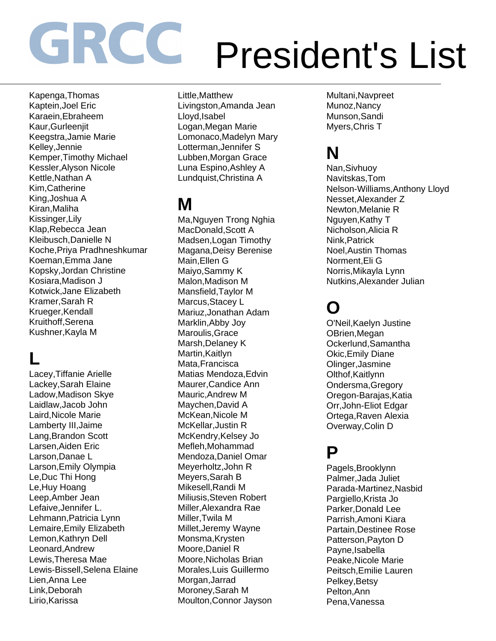Kapenga,Thomas Kaptein,Joel Eric Karaein,Ebraheem Kaur,Gurleenjit Keegstra,Jamie Marie Kelley,Jennie Kemper,Timothy Michael Kessler,Alyson Nicole Kettle,Nathan A Kim,Catherine King,Joshua A Kiran,Maliha Kissinger,Lily Klap,Rebecca Jean Kleibusch,Danielle N Koche,Priya Pradhneshkumar Koeman,Emma Jane Kopsky,Jordan Christine Kosiara,Madison J Kotwick,Jane Elizabeth Kramer,Sarah R Krueger,Kendall Kruithoff,Serena Kushner,Kayla M

#### **L**

Lacey,Tiffanie Arielle Lackey,Sarah Elaine Ladow,Madison Skye Laidlaw,Jacob John Laird,Nicole Marie Lamberty III,Jaime Lang,Brandon Scott Larsen,Aiden Eric Larson,Danae L Larson,Emily Olympia Le,Duc Thi Hong Le,Huy Hoang Leep,Amber Jean Lefaive,Jennifer L. Lehmann,Patricia Lynn Lemaire,Emily Elizabeth Lemon,Kathryn Dell Leonard,Andrew Lewis,Theresa Mae Lewis-Bissell,Selena Elaine Lien,Anna Lee Link,Deborah Lirio,Karissa

Little,Matthew Livingston,Amanda Jean Lloyd,Isabel Logan,Megan Marie Lomonaco,Madelyn Mary Lotterman,Jennifer S Lubben,Morgan Grace Luna Espino,Ashley A Lundquist,Christina A

## **M**

Ma,Nguyen Trong Nghia MacDonald,Scott A Madsen,Logan Timothy Magana,Deisy Berenise Main,Ellen G Maiyo,Sammy K Malon,Madison M Mansfield,Taylor M Marcus,Stacey L Mariuz,Jonathan Adam Marklin,Abby Joy Maroulis,Grace Marsh,Delaney K Martin,Kaitlyn Mata,Francisca Matias Mendoza,Edvin Maurer,Candice Ann Mauric,Andrew M Maychen,David A McKean,Nicole M McKellar,Justin R McKendry,Kelsey Jo Mefleh,Mohammad Mendoza,Daniel Omar Meyerholtz,John R Meyers,Sarah B Mikesell,Randi M Miliusis,Steven Robert Miller,Alexandra Rae Miller,Twila M Millet,Jeremy Wayne Monsma,Krysten Moore,Daniel R Moore,Nicholas Brian Morales,Luis Guillermo Morgan,Jarrad Moroney,Sarah M Moulton,Connor Jayson

Multani,Navpreet Munoz,Nancy Munson,Sandi Myers,Chris T

## **N**

Nan,Sivhuoy Navitskas,Tom Nelson-Williams,Anthony Lloyd Nesset,Alexander Z Newton,Melanie R Nguyen,Kathy T Nicholson,Alicia R Nink,Patrick Noel,Austin Thomas Norment,Eli G Norris,Mikayla Lynn Nutkins,Alexander Julian

#### **O**

O'Neil,Kaelyn Justine OBrien,Megan Ockerlund,Samantha Okic,Emily Diane Olinger,Jasmine Olthof,Kaitlynn Ondersma,Gregory Oregon-Barajas,Katia Orr,John-Eliot Edgar Ortega,Raven Alexia Overway,Colin D

#### **P**

Pagels,Brooklynn Palmer,Jada Juliet Parada-Martinez,Nasbid Pargiello,Krista Jo Parker,Donald Lee Parrish,Amoni Kiara Partain,Destinee Rose Patterson,Payton D Payne,Isabella Peake,Nicole Marie Peitsch,Emilie Lauren Pelkey,Betsy Pelton,Ann Pena,Vanessa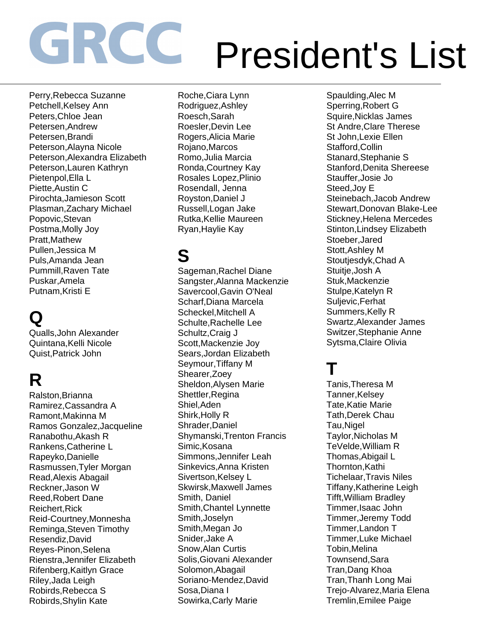Perry,Rebecca Suzanne Petchell,Kelsey Ann Peters,Chloe Jean Petersen,Andrew Petersen,Brandi Peterson,Alayna Nicole Peterson,Alexandra Elizabeth Peterson,Lauren Kathryn Pietenpol,Ella L Piette,Austin C Pirochta,Jamieson Scott Plasman,Zachary Michael Popovic,Stevan Postma,Molly Joy Pratt,Mathew Pullen,Jessica M Puls,Amanda Jean Pummill,Raven Tate Puskar,Amela Putnam,Kristi E

## **Q**

Qualls,John Alexander Quintana,Kelli Nicole Quist,Patrick John

## **R**

Ralston,Brianna Ramirez,Cassandra A Ramont,Makinna M Ramos Gonzalez,Jacqueline Ranabothu,Akash R Rankens,Catherine L Rapeyko,Danielle Rasmussen,Tyler Morgan Read,Alexis Abagail Reckner,Jason W Reed,Robert Dane Reichert,Rick Reid-Courtney,Monnesha Reminga,Steven Timothy Resendiz,David Reyes-Pinon,Selena Rienstra,Jennifer Elizabeth Rifenberg,Kaitlyn Grace Riley,Jada Leigh Robirds,Rebecca S Robirds,Shylin Kate

Roche,Ciara Lynn Rodriguez,Ashley Roesch,Sarah Roesler,Devin Lee Rogers,Alicia Marie Rojano,Marcos Romo,Julia Marcia Ronda,Courtney Kay Rosales Lopez,Plinio Rosendall, Jenna Royston,Daniel J Russell,Logan Jake Rutka,Kellie Maureen Ryan,Haylie Kay

#### **S**

Sageman,Rachel Diane Sangster,Alanna Mackenzie Savercool,Gavin O'Neal Scharf,Diana Marcela Scheckel,Mitchell A Schulte,Rachelle Lee Schultz,Craig J Scott,Mackenzie Joy Sears,Jordan Elizabeth Seymour,Tiffany M Shearer,Zoey Sheldon,Alysen Marie Shettler,Regina Shiel,Aden Shirk,Holly R Shrader,Daniel Shymanski,Trenton Francis Simic,Kosana Simmons,Jennifer Leah Sinkevics,Anna Kristen Sivertson, Kelsey L Skwirsk,Maxwell James Smith, Daniel Smith,Chantel Lynnette Smith,Joselyn Smith,Megan Jo Snider,Jake A Snow,Alan Curtis Solis,Giovani Alexander Solomon,Abagail Soriano-Mendez,David Sosa,Diana I Sowirka,Carly Marie

Spaulding,Alec M Sperring,Robert G Squire,Nicklas James St Andre,Clare Therese St John,Lexie Ellen Stafford,Collin Stanard,Stephanie S Stanford,Denita Shereese Stauffer,Josie Jo Steed,Joy E Steinebach,Jacob Andrew Stewart,Donovan Blake-Lee Stickney,Helena Mercedes Stinton,Lindsey Elizabeth Stoeber,Jared Stott,Ashley M Stoutjesdyk,Chad A Stuitje,Josh A Stuk,Mackenzie Stulpe,Katelyn R Suljevic,Ferhat Summers,Kelly R Swartz,Alexander James Switzer,Stephanie Anne Sytsma,Claire Olivia

#### **T**

Tanis,Theresa M Tanner,Kelsey Tate,Katie Marie Tath,Derek Chau Tau,Nigel Taylor,Nicholas M TeVelde,William R Thomas,Abigail L Thornton,Kathi Tichelaar,Travis Niles Tiffany,Katherine Leigh Tifft,William Bradley Timmer,Isaac John Timmer,Jeremy Todd Timmer,Landon T Timmer,Luke Michael Tobin,Melina Townsend,Sara Tran,Dang Khoa Tran,Thanh Long Mai Trejo-Alvarez,Maria Elena Tremlin,Emilee Paige